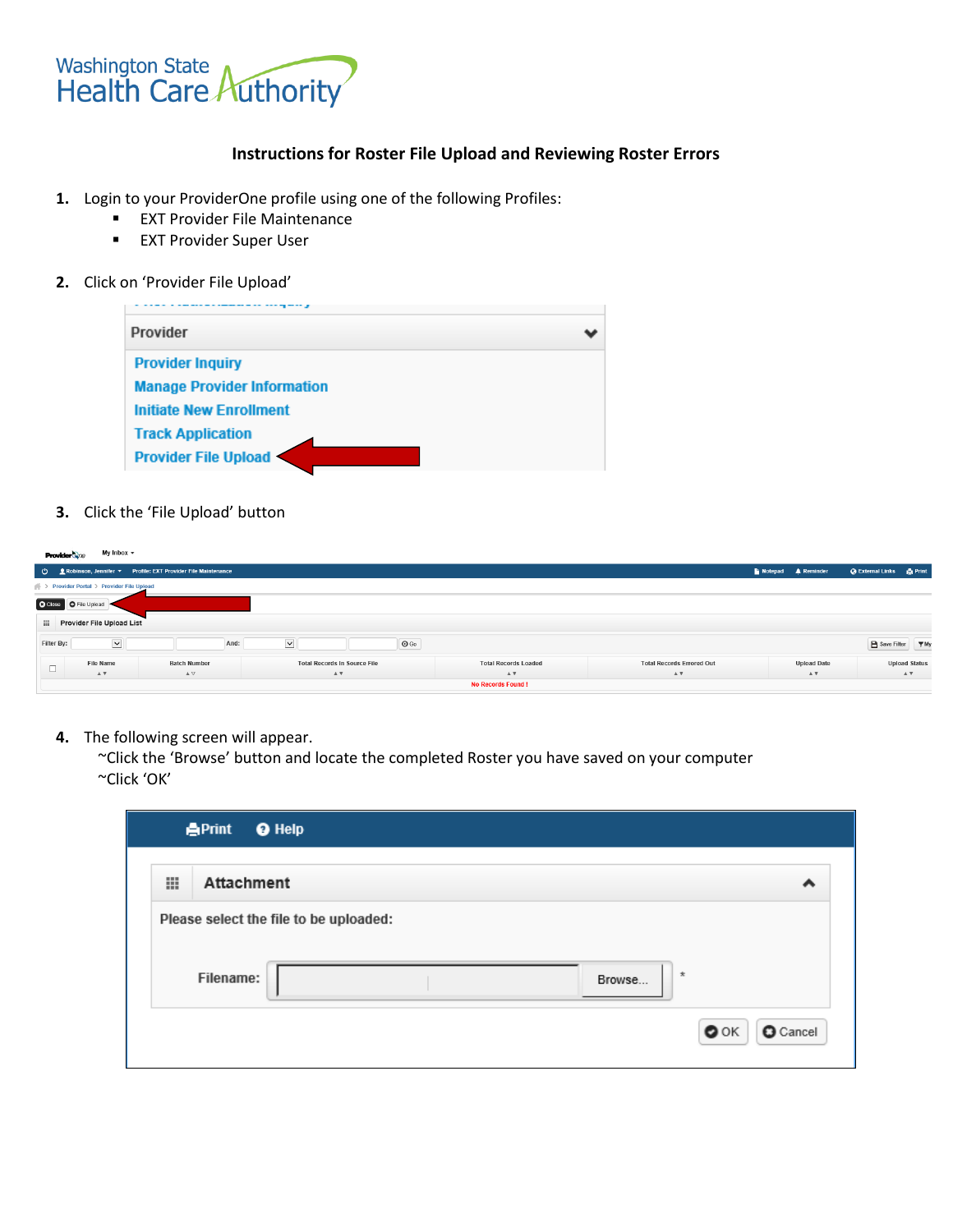

# **Instructions for Roster File Upload and Reviewing Roster Errors**

- **1.** Login to your ProviderOne profile using one of the following Profiles:
	- **EXT Provider File Maintenance**
	- **EXT Provider Super User**

#### **2.** Click on 'Provider File Upload'



## **3.** Click the 'File Upload' button

| My Inbox $\sim$<br><b>Provider Si</b> ne                           |                                                           |                                                             |                                        |                             |                                       |                    |                                 |  |  |
|--------------------------------------------------------------------|-----------------------------------------------------------|-------------------------------------------------------------|----------------------------------------|-----------------------------|---------------------------------------|--------------------|---------------------------------|--|--|
|                                                                    |                                                           | Robinson, Jennifer > Profile: EXT Provider File Maintenance |                                        |                             |                                       | Notepad A Reminder | <b>Q External Links</b> ● Print |  |  |
|                                                                    | <b>New York Provider Portal &gt; Provider File Upload</b> |                                                             |                                        |                             |                                       |                    |                                 |  |  |
|                                                                    | C Close C File Upload                                     |                                                             |                                        |                             |                                       |                    |                                 |  |  |
|                                                                    | <b>Elli</b> Provider File Upload List                     |                                                             |                                        |                             |                                       |                    |                                 |  |  |
| $\blacktriangledown$<br>$\vee$<br>Filter By:<br>$\odot$ Go<br>And: |                                                           |                                                             |                                        |                             |                                       | B Save Filter ▼ My |                                 |  |  |
| $\Box$                                                             | File Name                                                 | <b>Batch Number</b>                                         | <b>Total Records In Source File</b>    | <b>Total Records Loaded</b> | <b>Total Records Errored Out</b>      | <b>Upload Date</b> | <b>Upload Status</b>            |  |  |
|                                                                    | $\blacktriangle$ $\blacktriangledown$                     | $\blacktriangle$ $\nabla$                                   | $\mathbbm{A}$ $\overline{\mathbbm{v}}$ | AV                          | $\blacktriangle$ $\blacktriangledown$ | $A$ V              | AV                              |  |  |
|                                                                    | <b>No Records Found!</b>                                  |                                                             |                                        |                             |                                       |                    |                                 |  |  |

**4.** The following screen will appear.

~Click the 'Browse' button and locate the completed Roster you have saved on your computer ~Click 'OK'

|                                        | <b>APrint</b><br><b>O</b> Help |                                 |
|----------------------------------------|--------------------------------|---------------------------------|
| 田                                      | Attachment                     | ^                               |
| Please select the file to be uploaded: |                                |                                 |
|                                        | Filename:<br>Browse            | $\star$                         |
|                                        |                                | $\bullet$ ok<br><b>O</b> Cancel |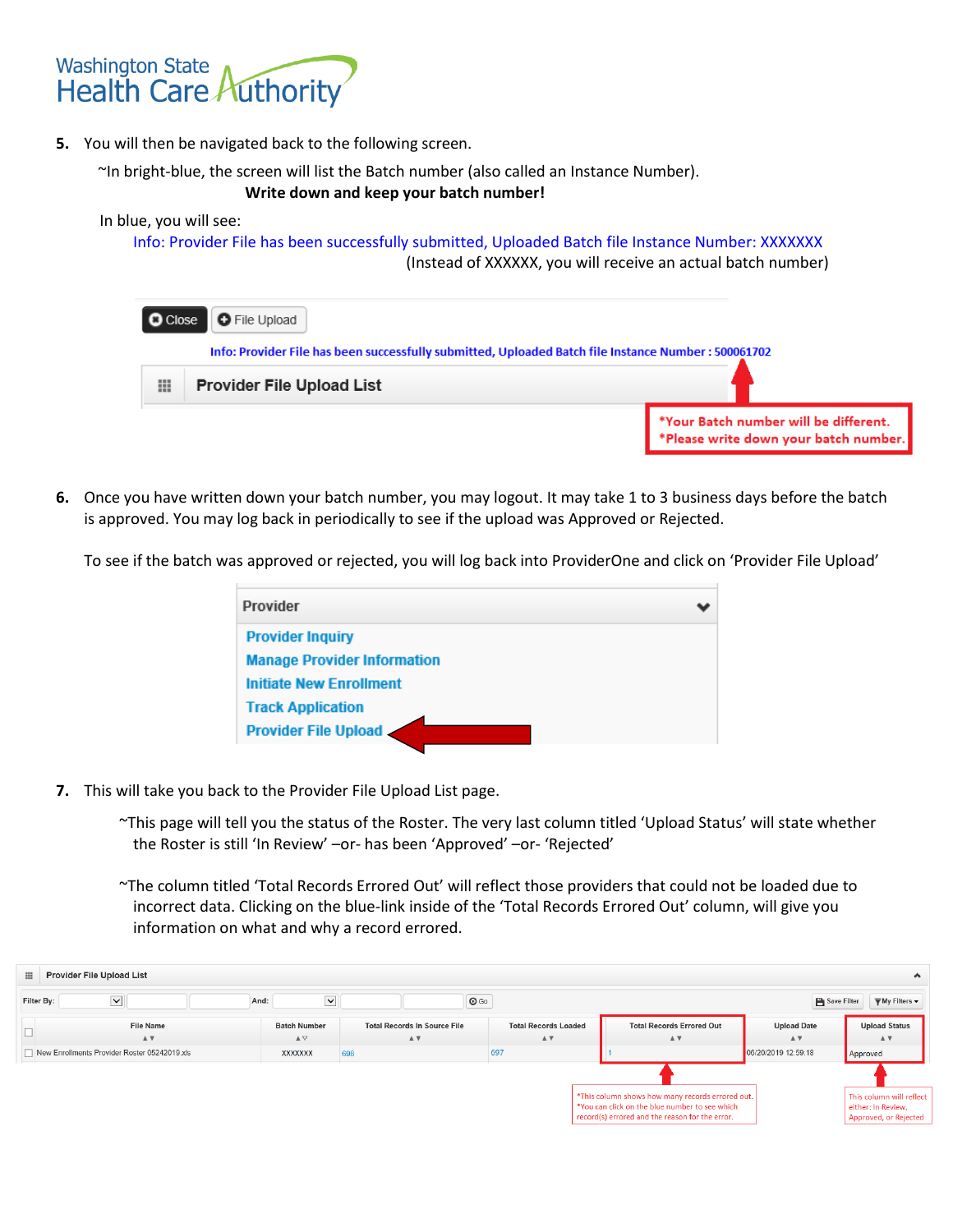

**5.** You will then be navigated back to the following screen.

~In bright-blue, the screen will list the Batch number (also called an Instance Number).

## **Write down and keep your batch number!**

#### In blue, you will see:

Info: Provider File has been successfully submitted, Uploaded Batch file Instance Number: XXXXXXX (Instead of XXXXXX, you will receive an actual batch number)

| <b>O</b> Close                                                                                       | <b>O</b> File Upload             |                                                                                |  |  |  |
|------------------------------------------------------------------------------------------------------|----------------------------------|--------------------------------------------------------------------------------|--|--|--|
| Info: Provider File has been successfully submitted, Uploaded Batch file Instance Number : 500061702 |                                  |                                                                                |  |  |  |
| ⊞                                                                                                    | <b>Provider File Upload List</b> |                                                                                |  |  |  |
|                                                                                                      |                                  | *Your Batch number will be different.<br>*Please write down your batch number. |  |  |  |

**6.** Once you have written down your batch number, you may logout. It may take 1 to 3 business days before the batch is approved. You may log back in periodically to see if the upload was Approved or Rejected.

To see if the batch was approved or rejected, you will log back into ProviderOne and click on 'Provider File Upload'

| Provider                           |  |
|------------------------------------|--|
| <b>Provider Inquiry</b>            |  |
| <b>Manage Provider Information</b> |  |
| <b>Initiate New Enrollment</b>     |  |
| <b>Track Application</b>           |  |
| <b>Provider File Upload</b>        |  |

**7.** This will take you back to the Provider File Upload List page.

~This page will tell you the status of the Roster. The very last column titled 'Upload Status' will state whether the Roster is still 'In Review' –or- has been 'Approved' –or- 'Rejected'

~The column titled 'Total Records Errored Out' will reflect those providers that could not be loaded due to incorrect data. Clicking on the blue-link inside of the 'Total Records Errored Out' column, will give you information on what and why a record errored.

| <b>Provider File Upload List</b><br>$\hat{\phantom{a}}$ |                                              |                                             |                                                                    |                                   |                                                                                                                                                       |                                          |                                                                         |
|---------------------------------------------------------|----------------------------------------------|---------------------------------------------|--------------------------------------------------------------------|-----------------------------------|-------------------------------------------------------------------------------------------------------------------------------------------------------|------------------------------------------|-------------------------------------------------------------------------|
| Filter By:                                              | $\blacktriangledown$                         | $\checkmark$<br>And:                        | $\odot$ Go                                                         |                                   |                                                                                                                                                       | Save Filter                              | $\overline{\overline{\mathbf{y}}}$ My Filters $\overline{\mathbf{v}}$   |
|                                                         | <b>File Name</b><br>AV                       | <b>Batch Number</b><br>$\triangle$ $\nabla$ | <b>Total Records In Source File</b><br>$\mathbbm{A}$ $\mathbbm{V}$ | <b>Total Records Loaded</b><br>AV | <b>Total Records Errored Out</b><br>$A$ $\triangledown$                                                                                               | <b>Upload Date</b><br>$A$ $\overline{V}$ | <b>Upload Status</b><br>AV                                              |
|                                                         | New Enrollments Provider Roster 05242019.xls | <b>XXXXXXX</b>                              | 698                                                                | 697                               |                                                                                                                                                       | 06/20/2019 12:59:18                      | Approved                                                                |
|                                                         |                                              |                                             |                                                                    |                                   |                                                                                                                                                       |                                          |                                                                         |
|                                                         |                                              |                                             |                                                                    |                                   | *This column shows how many records errored out.<br>*You can click on the blue number to see which<br>record(s) errored and the reason for the error. |                                          | This column will reflect<br>either: In Review,<br>Approved, or Rejected |